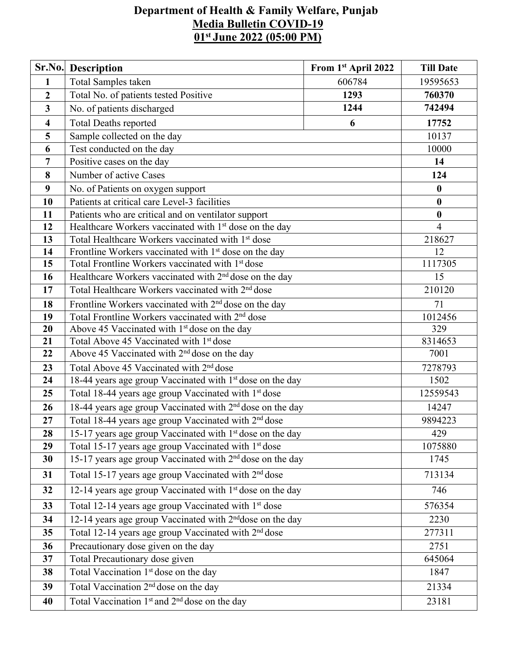## **Department of Health & Family Welfare, Punjab Media Bulletin COVID-19 01 st June 2022 (05:00 PM)**

|                         | Sr.No. Description                                                            | From 1st April 2022 | <b>Till Date</b> |  |  |  |
|-------------------------|-------------------------------------------------------------------------------|---------------------|------------------|--|--|--|
| $\mathbf{1}$            | Total Samples taken                                                           | 606784              | 19595653         |  |  |  |
| $\overline{2}$          | Total No. of patients tested Positive                                         | 760370              |                  |  |  |  |
| $\mathbf{3}$            | No. of patients discharged                                                    | 742494              |                  |  |  |  |
| $\overline{\mathbf{4}}$ | <b>Total Deaths reported</b><br>6                                             |                     |                  |  |  |  |
| 5                       | Sample collected on the day                                                   |                     | 10137            |  |  |  |
| 6                       | Test conducted on the day                                                     |                     | 10000            |  |  |  |
| $\overline{7}$          | Positive cases on the day                                                     |                     | 14               |  |  |  |
| 8                       | Number of active Cases                                                        |                     | 124              |  |  |  |
| 9                       | No. of Patients on oxygen support                                             |                     | $\boldsymbol{0}$ |  |  |  |
| 10                      | Patients at critical care Level-3 facilities                                  |                     | $\bf{0}$         |  |  |  |
| 11                      | Patients who are critical and on ventilator support                           |                     | $\boldsymbol{0}$ |  |  |  |
| 12                      | Healthcare Workers vaccinated with 1 <sup>st</sup> dose on the day            |                     | $\overline{4}$   |  |  |  |
| 13                      | Total Healthcare Workers vaccinated with 1 <sup>st</sup> dose                 |                     | 218627           |  |  |  |
| 14                      | Frontline Workers vaccinated with 1 <sup>st</sup> dose on the day             | 12                  |                  |  |  |  |
| 15                      | Total Frontline Workers vaccinated with 1 <sup>st</sup> dose                  |                     | 1117305          |  |  |  |
| 16                      | Healthcare Workers vaccinated with 2 <sup>nd</sup> dose on the day            | 15                  |                  |  |  |  |
| 17                      | Total Healthcare Workers vaccinated with 2 <sup>nd</sup> dose                 | 210120              |                  |  |  |  |
| 18                      | Frontline Workers vaccinated with 2 <sup>nd</sup> dose on the day             | 71                  |                  |  |  |  |
| 19                      | Total Frontline Workers vaccinated with 2 <sup>nd</sup> dose                  | 1012456             |                  |  |  |  |
| 20                      | Above 45 Vaccinated with 1 <sup>st</sup> dose on the day                      |                     |                  |  |  |  |
| 21                      | Total Above 45 Vaccinated with 1 <sup>st</sup> dose                           |                     |                  |  |  |  |
| 22                      | Above 45 Vaccinated with 2 <sup>nd</sup> dose on the day                      |                     |                  |  |  |  |
| 23                      | Total Above 45 Vaccinated with 2 <sup>nd</sup> dose                           |                     | 7278793          |  |  |  |
| 24                      | 18-44 years age group Vaccinated with 1 <sup>st</sup> dose on the day         |                     | 1502             |  |  |  |
| 25                      | Total 18-44 years age group Vaccinated with 1st dose                          |                     | 12559543         |  |  |  |
| 26                      | 18-44 years age group Vaccinated with 2 <sup>nd</sup> dose on the day         | 14247               |                  |  |  |  |
| 27                      | Total 18-44 years age group Vaccinated with 2 <sup>nd</sup> dose              |                     | 9894223          |  |  |  |
| 28                      | 15-17 years age group Vaccinated with 1 <sup>st</sup> dose on the day         |                     | 429              |  |  |  |
| 29                      | Total 15-17 years age group Vaccinated with 1 <sup>st</sup> dose              | 1075880             |                  |  |  |  |
| 30                      | 15-17 years age group Vaccinated with 2 <sup>nd</sup> dose on the day<br>1745 |                     |                  |  |  |  |
| 31                      | Total 15-17 years age group Vaccinated with 2 <sup>nd</sup> dose<br>713134    |                     |                  |  |  |  |
| 32                      | 12-14 years age group Vaccinated with 1 <sup>st</sup> dose on the day         | 746                 |                  |  |  |  |
| 33                      | Total 12-14 years age group Vaccinated with 1 <sup>st</sup> dose              | 576354              |                  |  |  |  |
| 34                      | 12-14 years age group Vaccinated with 2 <sup>nd</sup> dose on the day         | 2230                |                  |  |  |  |
| 35                      | Total 12-14 years age group Vaccinated with 2 <sup>nd</sup> dose              | 277311              |                  |  |  |  |
| 36                      | Precautionary dose given on the day                                           | 2751                |                  |  |  |  |
| 37                      | Total Precautionary dose given                                                | 645064              |                  |  |  |  |
| 38                      | Total Vaccination 1 <sup>st</sup> dose on the day                             |                     | 1847             |  |  |  |
| 39                      | Total Vaccination 2 <sup>nd</sup> dose on the day                             |                     | 21334            |  |  |  |
| 40                      | Total Vaccination 1 <sup>st</sup> and 2 <sup>nd</sup> dose on the day         |                     | 23181            |  |  |  |
|                         |                                                                               |                     |                  |  |  |  |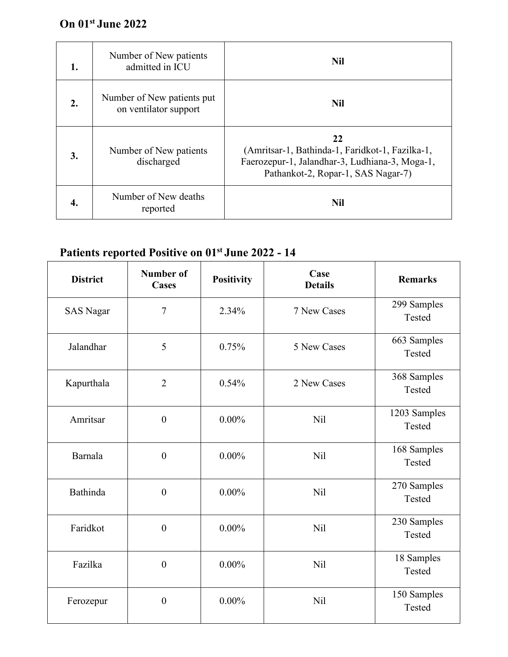## **On 01 st June 2022**

| 1. | Number of New patients<br>admitted in ICU           | <b>Nil</b>                                                                                                                                    |
|----|-----------------------------------------------------|-----------------------------------------------------------------------------------------------------------------------------------------------|
| 2. | Number of New patients put<br>on ventilator support | <b>Nil</b>                                                                                                                                    |
| 3. | Number of New patients<br>discharged                | 22<br>(Amritsar-1, Bathinda-1, Faridkot-1, Fazilka-1,<br>Faerozepur-1, Jalandhar-3, Ludhiana-3, Moga-1,<br>Pathankot-2, Ropar-1, SAS Nagar-7) |
| 4. | Number of New deaths<br>reported                    | <b>Nil</b>                                                                                                                                    |

## **Patients reported Positive on 01 st June 2022 - 14**

| <b>District</b>  | <b>Number of</b><br><b>Cases</b> | <b>Positivity</b> | Case<br><b>Details</b> | <b>Remarks</b>         |
|------------------|----------------------------------|-------------------|------------------------|------------------------|
| <b>SAS Nagar</b> | $\overline{7}$                   | 2.34%             | 7 New Cases            | 299 Samples<br>Tested  |
| Jalandhar        | 5                                | 0.75%             | 5 New Cases            | 663 Samples<br>Tested  |
| Kapurthala       | $\overline{2}$                   | 0.54%             | 2 New Cases            | 368 Samples<br>Tested  |
| Amritsar         | $\boldsymbol{0}$                 | $0.00\%$          | Nil                    | 1203 Samples<br>Tested |
| <b>Barnala</b>   | $\boldsymbol{0}$                 | $0.00\%$          | <b>Nil</b>             | 168 Samples<br>Tested  |
| Bathinda         | $\boldsymbol{0}$                 | $0.00\%$          | <b>Nil</b>             | 270 Samples<br>Tested  |
| Faridkot         | $\boldsymbol{0}$                 | $0.00\%$          | <b>Nil</b>             | 230 Samples<br>Tested  |
| Fazilka          | $\boldsymbol{0}$                 | $0.00\%$          | Nil                    | 18 Samples<br>Tested   |
| Ferozepur        | $\boldsymbol{0}$                 | $0.00\%$          | Nil                    | 150 Samples<br>Tested  |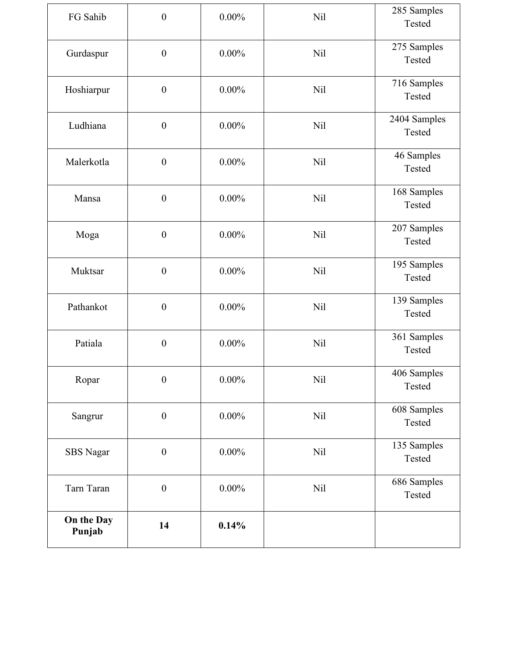| FG Sahib             | $\boldsymbol{0}$ | $0.00\%$ | Nil        | 285 Samples<br>Tested  |
|----------------------|------------------|----------|------------|------------------------|
| Gurdaspur            | $\boldsymbol{0}$ | $0.00\%$ | <b>Nil</b> | 275 Samples<br>Tested  |
| Hoshiarpur           | $\boldsymbol{0}$ | $0.00\%$ | <b>Nil</b> | 716 Samples<br>Tested  |
| Ludhiana             | $\boldsymbol{0}$ | $0.00\%$ | <b>Nil</b> | 2404 Samples<br>Tested |
| Malerkotla           | $\boldsymbol{0}$ | $0.00\%$ | <b>Nil</b> | 46 Samples<br>Tested   |
| Mansa                | $\boldsymbol{0}$ | $0.00\%$ | Nil        | 168 Samples<br>Tested  |
| Moga                 | $\boldsymbol{0}$ | $0.00\%$ | <b>Nil</b> | 207 Samples<br>Tested  |
| Muktsar              | $\boldsymbol{0}$ | $0.00\%$ | <b>Nil</b> | 195 Samples<br>Tested  |
| Pathankot            | $\boldsymbol{0}$ | $0.00\%$ | <b>Nil</b> | 139 Samples<br>Tested  |
| Patiala              | $\boldsymbol{0}$ | $0.00\%$ | <b>Nil</b> | 361 Samples<br>Tested  |
| Ropar                | $\boldsymbol{0}$ | $0.00\%$ | <b>Nil</b> | 406 Samples<br>Tested  |
| Sangrur              | $\boldsymbol{0}$ | $0.00\%$ | <b>Nil</b> | 608 Samples<br>Tested  |
| <b>SBS</b> Nagar     | $\boldsymbol{0}$ | $0.00\%$ | <b>Nil</b> | 135 Samples<br>Tested  |
| Tarn Taran           | $\boldsymbol{0}$ | $0.00\%$ | Nil        | 686 Samples<br>Tested  |
| On the Day<br>Punjab | 14               | 0.14%    |            |                        |
|                      |                  |          |            |                        |